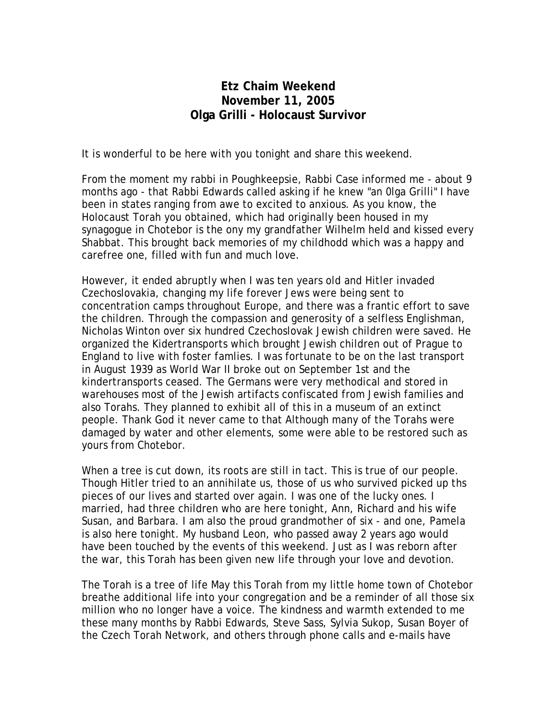## **Etz Chaim Weekend November 11, 2005 Olga Grilli - Holocaust Survivor**

It is wonderful to be here with you tonight and share this weekend.

From the moment my rabbi in Poughkeepsie, Rabbi Case informed me - about 9 months ago - that Rabbi Edwards called asking if he knew "an 0lga Grilli" I have been in states ranging from awe to excited to anxious. As you know, the Holocaust Torah you obtained, which had originally been housed in my synagogue in Chotebor is the ony my grandfather Wilhelm held and kissed every Shabbat. This brought back memories of my childhodd which was a happy and carefree one, filled with fun and much love.

However, it ended abruptly when I was ten years old and Hitler invaded Czechoslovakia, changing my life forever Jews were being sent to concentration camps throughout Europe, and there was a frantic effort to save the children. Through the compassion and generosity of a selfless Englishman, Nicholas Winton over six hundred Czechoslovak Jewish children were saved. He organized the Kidertransports which brought Jewish children out of Prague to England to live with foster famlies. I was fortunate to be on the last transport in August 1939 as World War II broke out on September 1st and the kindertransports ceased. The Germans were very methodical and stored in warehouses most of the Jewish artifacts confiscated from Jewish families and also Torahs. They planned to exhibit all of this in a museum of an extinct people. Thank God it never came to that Although many of the Torahs were damaged by water and other elements, some were able to be restored such as yours from Chotebor.

When a tree is cut down, its roots are still in tact. This is true of our people. Though Hitler tried to an annihilate us, those of us who survived picked up ths pieces of our lives and started over again. I was one of the lucky ones. I married, had three children who are here tonight, Ann, Richard and his wife Susan, and Barbara. I am also the proud grandmother of six - and one, Pamela is also here tonight. My husband Leon, who passed away 2 years ago would have been touched by the events of this weekend. Just as I was reborn after the war, this Torah has been given new life through your love and devotion.

The Torah is a tree of life May this Torah from my little home town of Chotebor breathe additional life into your congregation and be a reminder of all those six million who no longer have a voice. The kindness and warmth extended to me these many months by Rabbi Edwards, Steve Sass, Sylvia Sukop, Susan Boyer of the Czech Torah Network, and others through phone calls and e-mails have